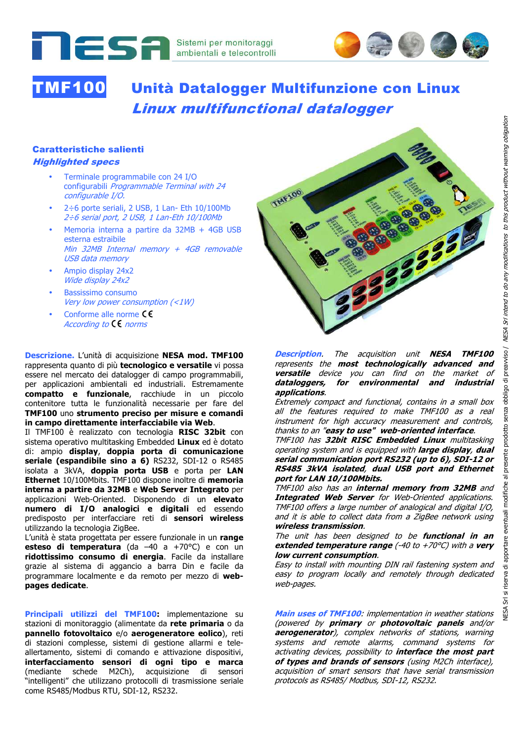

# TMF100 Unità Datalogger Multifunzione con Linux Linux multifunctional datalogger

#### Caratteristiche salienti Highlighted specs

- Terminale programmabile con 24 I/O configurabili Programmable Terminal with 24 configurable I/O.
- 2÷6 porte seriali, 2 USB, 1 Lan- Eth 10/100Mb 2÷6 serial port, 2 USB, 1 Lan-Eth 10/100Mb
- Memoria interna a partire da 32MB + 4GB USB esterna estraibile Min 32MB Internal memory + 4GB removable USB data memory
- Ampio display 24x2 Wide display 24x2
- Bassissimo consumo Very low power consumption (<1W)
- Conforme alle norme CC According to  $C \epsilon$  norms

**Descrizione.** L'unità di acquisizione **NESA mod. TMF100** rappresenta quanto di più **tecnologico e versatile** vi possa essere nel mercato dei datalogger di campo programmabili, per applicazioni ambientali ed industriali. Estremamente **compatto e funzionale**, racchiude in un piccolo contenitore tutta le funzionalità necessarie per fare del **TMF100** uno **strumento preciso per misure e comandi in campo direttamente interfacciabile via Web**.

Il TMF100 è realizzato con tecnologia **RISC 32bit** con sistema operativo multitasking Embedded **Linux** ed è dotato di: ampio **display**, **doppia porta di comunicazione seriale (espandibile sino a 6)** RS232, SDI-12 o RS485 isolata a 3kVA, **doppia porta USB** e porta per **LAN Ethernet** 10/100Mbits. TMF100 dispone inoltre di **memoria interna a partire da 32MB** e **Web Server Integrato** per applicazioni Web-Oriented. Disponendo di un **elevato numero di I/O analogici e digitali** ed essendo predisposto per interfacciare reti di **sensori wireless** utilizzando la tecnologia ZigBee.

L'unità è stata progettata per essere funzionale in un **range esteso di temperatura** (da –40 a +70°C) e con un **ridottissimo consumo di energia**. Facile da installare grazie al sistema di aggancio a barra Din e facile da programmare localmente e da remoto per mezzo di **webpages dedicate**.

**Principali utilizzi del TMF100:** implementazione su stazioni di monitoraggio (alimentate da **rete primaria** o da **pannello fotovoltaico** e/o **aerogeneratore eolico**), reti di stazioni complesse, sistemi di gestione allarmi e teleallertamento, sistemi di comando e attivazione dispositivi, **interfacciamento sensori di ogni tipo e marca** (mediante schede M2Ch), acquisizione di sensori "intelligenti" che utilizzano protocolli di trasmissione seriale come RS485/Modbus RTU, SDI-12, RS232.



**Description**. The acquisition unit **NESA TMF100** represents the **most technologically advanced and versatile** device you can find on the market of **dataloggers, for environmental and industrial applications**.

Extremely compact and functional, contains in a small box all the features required to make TMF100 as a real instrument for high accuracy measurement and controls, thanks to an "**easy to use" web-oriented interface**.

TMF100 has **32bit RISC Embedded Linux** multitasking operating system and is equipped with **large display**, **dual serial communication port RS232 (up to 6), SDI-12 or RS485 3kVA isolated**, **dual USB port and Ethernet port for LAN 10/100Mbits.** 

TMF100 also has an **internal memory from 32MB** and **Integrated Web Server** for Web-Oriented applications. TMF100 offers a large number of analogical and digital I/O, and it is able to collect data from a ZigBee network using **wireless transmission**.

The unit has been designed to be **functional in an extended temperature range** (-40 to +70°C) with a **very low current consumption**.

Easy to install with mounting DIN rail fastening system and easy to program locally and remotely through dedicated web-pages.

**Main uses of TMF100**: implementation in weather stations (powered by **primary** or **photovoltaic panels** and/or **aerogenerator**), complex networks of stations, warning systems and remote alarms, command systems for activating devices, possibility to **interface the most part of types and brands of sensors** (using M2Ch interface), acquisition of smart sensors that have serial transmission protocols as RS485/ Modbus, SDI-12, RS232.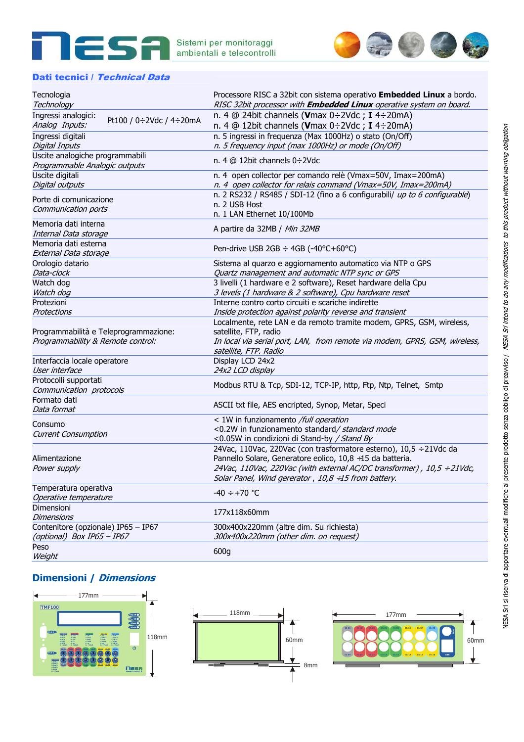



#### Dati tecnici / Technical Data

| Tecnologia                                | Processore RISC a 32bit con sistema operativo Embedded Linux a bordo.      |
|-------------------------------------------|----------------------------------------------------------------------------|
| Technology                                | RISC 32bit processor with <b>Embedded Linux</b> operative system on board. |
| Ingressi analogici:                       | n. 4 @ 24bit channels (Vmax $0\div 2$ Vdc; I 4 $\div 20$ mA)               |
| Pt100 / 0÷2Vdc / 4÷20mA<br>Analog Inputs: | n. 4 @ 12bit channels (Vmax $0\div 2$ Vdc; I 4 $\div 20$ mA)               |
| Ingressi digitali                         | n. 5 ingressi in frequenza (Max 1000Hz) o stato (On/Off)                   |
| <b>Digital Inputs</b>                     | n. 5 frequency input (max 1000Hz) or mode (On/Off)                         |
| Uscite analogiche programmabili           |                                                                            |
| Programmable Analogic outputs             | n. 4 $@$ 12bit channels $0\div 2 \text{Vdc}$                               |
| Uscite digitali                           | n. 4 open collector per comando relè (Vmax=50V, Imax=200mA)                |
| Digital outputs                           | n. 4 open collector for relais command (Vmax=50V, Imax=200mA)              |
| Porte di comunicazione                    | n. 2 RS232 / RS485 / SDI-12 (fino a 6 configurabili/ up to 6 configurable) |
| Communication ports                       | n. 2 USB Host                                                              |
|                                           | n. 1 LAN Ethernet 10/100Mb                                                 |
| Memoria dati interna                      | A partire da 32MB / Min 32MB                                               |
| Internal Data storage                     |                                                                            |
| Memoria dati esterna                      | Pen-drive USB 2GB ÷ 4GB (-40°C+60°C)                                       |
| External Data storage                     |                                                                            |
| Orologio datario                          | Sistema al quarzo e aggiornamento automatico via NTP o GPS                 |
| Data-clock                                | Quartz management and automatic NTP sync or GPS                            |
| Watch dog                                 | 3 livelli (1 hardware e 2 software), Reset hardware della Cpu              |
| Watch dog                                 | 3 levels (1 hardware & 2 software), Cpu hardware reset                     |
| Protezioni                                | Interne contro corto circuiti e scariche indirette                         |
| Protections                               | Inside protection against polarity reverse and transient                   |
|                                           | Localmente, rete LAN e da remoto tramite modem, GPRS, GSM, wireless,       |
| Programmabilità e Teleprogrammazione:     | satellite, FTP, radio                                                      |
| Programmability & Remote control:         | In local via serial port, LAN, from remote via modem, GPRS, GSM, wireless, |
|                                           | satellite, FTP. Radio                                                      |
| Interfaccia locale operatore              | Display LCD 24x2                                                           |
| User interface                            | 24x2 LCD display                                                           |
| Protocolli supportati                     | Modbus RTU & Tcp, SDI-12, TCP-IP, http, Ftp, Ntp, Telnet, Smtp             |
| Communication protocols                   |                                                                            |
| Formato dati                              | ASCII txt file, AES encripted, Synop, Metar, Speci                         |
| Data format                               |                                                                            |
| Consumo                                   | < 1W in funzionamento /full operation                                      |
| <b>Current Consumption</b>                | <0.2W in funzionamento standard/standard mode                              |
|                                           | <0.05W in condizioni di Stand-by / Stand By                                |
|                                           | 24Vac, 110Vac, 220Vac (con trasformatore esterno), 10,5 ÷ 21Vdc da         |
| Alimentazione                             | Pannello Solare, Generatore eolico, 10,8 ÷15 da batteria.                  |
| Power supply                              | 24Vac, 110Vac, 220Vac (with external AC/DC transformer), 10,5 ÷ 21Vdc,     |
|                                           | Solar Panel, Wind gererator, $10,8 \div 15$ from battery.                  |
| Temperatura operativa                     | $-40 \div +70$ °C                                                          |
| Operative temperature                     |                                                                            |
| Dimensioni                                | 177x118x60mm                                                               |
| <b>Dimensions</b>                         |                                                                            |
| Contenitore (opzionale) IP65 - IP67       | 300x400x220mm (altre dim. Su richiesta)                                    |
| (optional) Box IP65 - IP67                | 300x400x220mm (other dim. on request)                                      |
| Peso                                      | 600g                                                                       |
| Weight                                    |                                                                            |

## **Dimensioni / Dimensions**

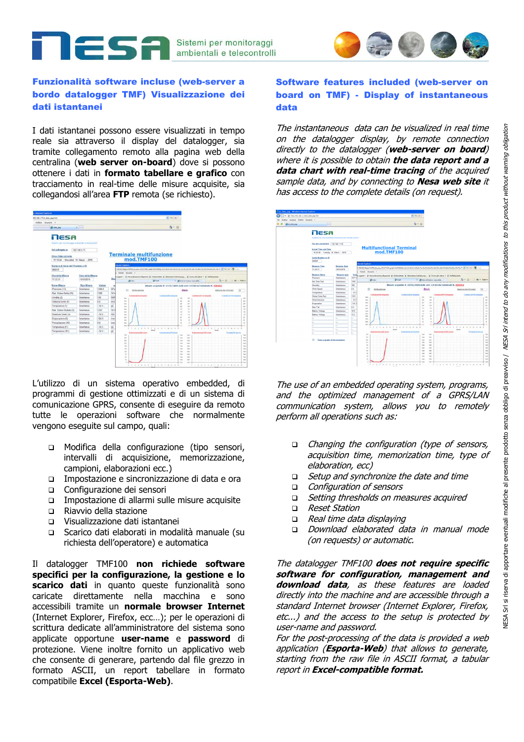

### Funzionalità software incluse (web-server a bordo datalogger TMF) Visualizzazione dei dati istantanei

2SA

I dati istantanei possono essere visualizzati in tempo reale sia attraverso il display del datalogger, sia tramite collegamento remoto alla pagina web della centralina (**web server on-board**) dove si possono ottenere i dati in **formato tabellare e grafico** con tracciamento in real-time delle misure acquisite, sia

| 192 168, 1.71Jr, data_pag.html<br>Preferit. Strument. 7                        |                                                       |                                 |                        |                                                     |                                                                                                                                                                                                                               | $+ 4x + 4$                                                                         |                                |                                       |
|--------------------------------------------------------------------------------|-------------------------------------------------------|---------------------------------|------------------------|-----------------------------------------------------|-------------------------------------------------------------------------------------------------------------------------------------------------------------------------------------------------------------------------------|------------------------------------------------------------------------------------|--------------------------------|---------------------------------------|
| <b>SECTION DIRE</b>                                                            | <b>SCIT</b>                                           |                                 |                        |                                                     |                                                                                                                                                                                                                               | G - 日                                                                              |                                |                                       |
| lesa<br>Satem per monitoraggi embieritali e telecontrolli                      |                                                       |                                 |                        |                                                     |                                                                                                                                                                                                                               |                                                                                    |                                |                                       |
| Sei collegato a<br>Ora e Data corrente<br>17 10:34 - Mercaled: 10 Marzo - 2010 | 192 168.1.71                                          |                                 |                        | mod.TMF100                                          | <b>Terminale multifunzione</b>                                                                                                                                                                                                |                                                                                    |                                |                                       |
| Numero di Serie del Prodotto o ID<br>000031                                    |                                                       |                                 |                        | <b>Instruct Explorer</b>                            | ATATHEN THE RELEASE AND CONTRACT COMPANY OF A REPORT OF A RELEASE OF A VALUE AND CONTRACT AND CONTRACT OF THE RELEASE OF A VALUE OF A VALUE OF A VALUE OF A VALUE OF A VALUE OF A VALUE OF A VALUE OF A VALUE OF A VALUE OF A |                                                                                    |                                |                                       |
| Ora della Misura<br>17:23.31                                                   | Data della Misura<br>10/03/2010                       |                                 | Rio                    | <b>Birde</b>                                        | @ Terminalization videoperants @ Wednesdanka @ Alematicies Seltding regu  @ Stanka all odd on = @ Halffeld good da<br><b>BOW</b>                                                                                              | <b>JS Viteret Colors reporties</b>                                                 |                                | 52 · 四 - 三 - mone -                   |
| Nome Misura<br>Pressione (13)<br>Rad. Solare Netta (11)                        | <b>Tipo Maura</b><br>Internation<br><b>Totantanea</b> | <b>Volume</b><br>1004.0<br>1388 | NP <sub>2</sub><br>Wir | Ahita stampa<br>D.                                  |                                                                                                                                                                                                                               | Misure acquisite it: 27/8/2009 date one: 17:10 dal terminale N. 000002<br>Back-    |                                | 6poisona tra Emmitta):                |
| Unidita (2)                                                                    | Istantanea                                            | 100                             | <b>RH</b>              | Contatinal Mo direction<br><b>Get</b><br><b>Col</b> |                                                                                                                                                                                                                               | Contationible investor<br>m<br>m<br>in<br>$\mathbf{H}$                             | <b>Contabine ETSI Hoperati</b> | Contribriel 1881 (Impute)             |
| Velocta Vento (9)<br>Temperatura (1)                                           | <b>Totantanea</b><br>Istantanea                       | 0.0<br>.14V.                    | <b>Jest</b><br>gC      | tai<br>tan                                          |                                                                                                                                                                                                                               | $\mathcal{I} \mathcal{V}$<br>217<br>100<br>in                                      |                                |                                       |
| Rad. Solare Globale (3)                                                        | lotantanea                                            | 1223                            | <b>Ville</b>           | ie.<br><b>Safe</b>                                  |                                                                                                                                                                                                                               | yté.<br>$\alpha$<br>$\overline{1}$<br>48                                           |                                |                                       |
| Drezisne Vento (4)                                                             | <b>Totantanea</b>                                     | NV-                             | C34                    | hab.<br>ù.                                          |                                                                                                                                                                                                                               | нá<br>110<br>as.<br>×                                                              |                                |                                       |
| Engorazione (5)                                                                | <b>Istantanea</b>                                     | 124.5                           | mm                     | turn.                                               |                                                                                                                                                                                                                               | $\theta$<br>$\overline{1}$                                                         |                                |                                       |
| Precipitazione (10)                                                            | Istantanea                                            | 0.0                             | imm                    | tan.<br><b>Sales</b>                                |                                                                                                                                                                                                                               | ú.<br>i.<br><b>HE</b>                                                              |                                |                                       |
| Temperatura (51)<br>Temperatura (101)                                          | Istantanea<br>Istantanea                              | $-NU$<br>NV                     | gC                     | $1 - 1$                                             | $\epsilon$                                                                                                                                                                                                                    |                                                                                    | $\epsilon$<br>x.<br>4.7.4      | $\tau$<br>÷<br>8. W. W. N. N. N.<br>× |
|                                                                                |                                                       |                                 | Q <sup>C</sup>         | Esternametric/25 (mart)<br><b>bo</b><br>475         |                                                                                                                                                                                                                               | <b>Externalmento TVs sinest</b><br>Sale<br><b>Safe</b><br><b>NAV</b><br><b>No.</b> | Enternancement (SCP) (month    | <b>Portate O'Robechi</b>              |
|                                                                                |                                                       |                                 |                        | ie.<br>56                                           |                                                                                                                                                                                                                               | <b>Safe</b><br><b>Sight</b><br>56<br>na l                                          |                                |                                       |
|                                                                                |                                                       |                                 |                        | ×<br>m                                              |                                                                                                                                                                                                                               | ist.<br><b>Sale</b><br>Net<br>Sab                                                  |                                |                                       |
|                                                                                |                                                       |                                 |                        | ×                                                   |                                                                                                                                                                                                                               | Seb<br><b>Sale</b>                                                                 |                                |                                       |
|                                                                                |                                                       |                                 |                        | ×<br>٠                                              |                                                                                                                                                                                                                               | NH <sub>3</sub><br>nja.<br>6ér<br>nich.                                            |                                |                                       |
|                                                                                |                                                       |                                 |                        | ×                                                   |                                                                                                                                                                                                                               | Sab<br>Sec.<br>Sab-<br>tials                                                       |                                |                                       |

programmi di gestione ottimizzati e di un sistema di comunicazione GPRS, consente di eseguire da remoto tutte le operazioni software che normalmente vengono eseguite sul campo, quali:

- Modifica della configurazione (tipo sensori, intervalli di acquisizione, memorizzazione, campioni, elaborazioni ecc.)
- Impostazione e sincronizzazione di data e ora
- Configurazione dei sensori
- Impostazione di allarmi sulle misure acquisite
- Riavvio della stazione
- Visualizzazione dati istantanei
- Scarico dati elaborati in modalità manuale (su richiesta dell'operatore) e automatica

Il datalogger TMF100 **non richiede software specifici per la configurazione, la gestione e lo scarico dati** in quanto queste funzionalità sono caricate direttamente nella macchina e sono accessibili tramite un **normale browser Internet** (Internet Explorer, Firefox, ecc…); per le operazioni di scrittura dedicate all'amministratore del sistema sono applicate opportune **user-name** e **password** di protezione. Viene inoltre fornito un applicativo web che consente di generare, partendo dal file grezzo in formato ASCII, un report tabellare in formato compatibile **Excel (Esporta-Web)**.

## Software features included (web-server on board on TMF) - Display of instantaneous data

The instantaneous data can be visualized in real time on the datalogger display, by remote connection directly to the datalogger (**web-server on board**) where it is possible to obtain **the data report and a data chart with real-time tracing** of the acquired sample data, and by connecting to **Nesa web site** it has access to the complete details (on request).



The use of an embedded operating system, programs,<br>and the optimized management of a GPRS/LAN communication system, allows you to remotely perform all operations such as:

- Changing the configuration (type of sensors, acquisition time, memorization time, type of elaboration, ecc)
- □ *Setup and synchronize the date and time*
- Configuration of sensors
- □ Setting thresholds on measures acquired
- □ Reset Station
- Real time data displaying
- Download elaborated data in manual mode (on requests) or automatic.

The datalogger TMF100 **does not require specific software for configuration, management and download data**, as these features are loaded directly into the machine and are accessible through a standard Internet browser (Internet Explorer, Firefox, etc...) and the access to the setup is protected by user-name and password.

For the post-processing of the data is provided a web application (**Esporta-Web**) that allows to generate, starting from the raw file in ASCII format, a tabular report in **Excel-compatible format.**